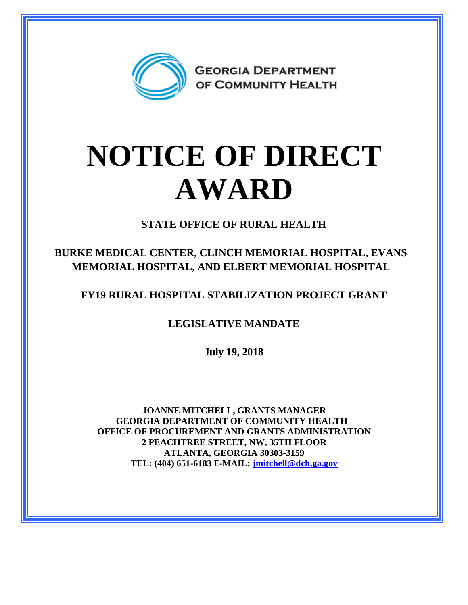

## **NOTICE OF DIRECT AWARD**

**STATE OFFICE OF RURAL HEALTH**

**BURKE MEDICAL CENTER, CLINCH MEMORIAL HOSPITAL, EVANS MEMORIAL HOSPITAL, AND ELBERT MEMORIAL HOSPITAL**

**FY19 RURAL HOSPITAL STABILIZATION PROJECT GRANT**

**LEGISLATIVE MANDATE**

**July 19, 2018**

**JOANNE MITCHELL, GRANTS MANAGER GEORGIA DEPARTMENT OF COMMUNITY HEALTH OFFICE OF PROCUREMENT AND GRANTS ADMINISTRATION 2 PEACHTREE STREET, NW, 35TH FLOOR ATLANTA, GEORGIA 30303-3159 TEL: (404) 651-6183 E-MAIL: [jmitchell@dch.ga.gov](mailto:jmitchell@dch.ga.gov)**